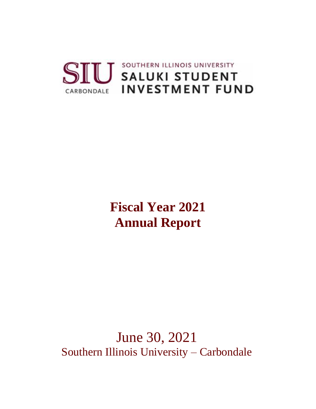

# **Fiscal Year 2021 Annual Report**

June 30, 2021 Southern Illinois University – Carbondale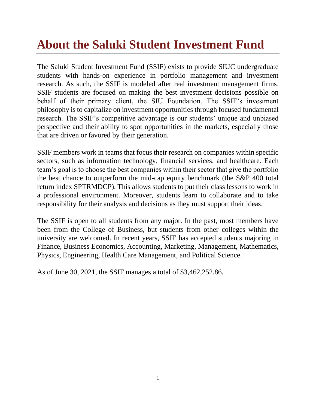# **About the Saluki Student Investment Fund**

The Saluki Student Investment Fund (SSIF) exists to provide SIUC undergraduate students with hands-on experience in portfolio management and investment research. As such, the SSIF is modeled after real investment management firms. SSIF students are focused on making the best investment decisions possible on behalf of their primary client, the SIU Foundation. The SSIF's investment philosophy is to capitalize on investment opportunities through focused fundamental research. The SSIF's competitive advantage is our students' unique and unbiased perspective and their ability to spot opportunities in the markets, especially those that are driven or favored by their generation.

SSIF members work in teams that focus their research on companies within specific sectors, such as information technology, financial services, and healthcare. Each team's goal is to choose the best companies within their sector that give the portfolio the best chance to outperform the mid-cap equity benchmark (the S&P 400 total return index SPTRMDCP). This allows students to put their class lessons to work in a professional environment. Moreover, students learn to collaborate and to take responsibility for their analysis and decisions as they must support their ideas.

The SSIF is open to all students from any major. In the past, most members have been from the College of Business, but students from other colleges within the university are welcomed. In recent years, SSIF has accepted students majoring in Finance, Business Economics, Accounting, Marketing, Management, Mathematics, Physics, Engineering, Health Care Management, and Political Science.

As of June 30, 2021, the SSIF manages a total of \$3,462,252.86.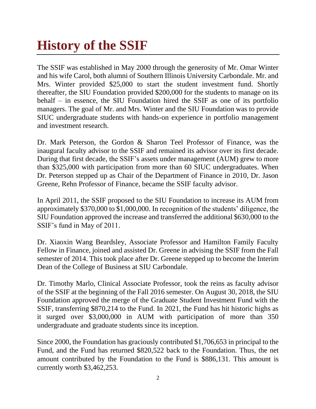# **History of the SSIF**

The SSIF was established in May 2000 through the generosity of Mr. Omar Winter and his wife Carol, both alumni of Southern Illinois University Carbondale. Mr. and Mrs. Winter provided \$25,000 to start the student investment fund. Shortly thereafter, the SIU Foundation provided \$200,000 for the students to manage on its behalf – in essence, the SIU Foundation hired the SSIF as one of its portfolio managers. The goal of Mr. and Mrs. Winter and the SIU Foundation was to provide SIUC undergraduate students with hands-on experience in portfolio management and investment research.

Dr. Mark Peterson, the Gordon & Sharon Teel Professor of Finance, was the inaugural faculty advisor to the SSIF and remained its advisor over its first decade. During that first decade, the SSIF's assets under management (AUM) grew to more than \$325,000 with participation from more than 60 SIUC undergraduates. When Dr. Peterson stepped up as Chair of the Department of Finance in 2010, Dr. Jason Greene, Rehn Professor of Finance, became the SSIF faculty advisor.

In April 2011, the SSIF proposed to the SIU Foundation to increase its AUM from approximately \$370,000 to \$1,000,000. In recognition of the students' diligence, the SIU Foundation approved the increase and transferred the additional \$630,000 to the SSIF's fund in May of 2011.

Dr. Xiaoxin Wang Beardsley, Associate Professor and Hamilton Family Faculty Fellow in Finance, joined and assisted Dr. Greene in advising the SSIF from the Fall semester of 2014. This took place after Dr. Greene stepped up to become the Interim Dean of the College of Business at SIU Carbondale.

Dr. Timothy Marlo, Clinical Associate Professor, took the reins as faculty advisor of the SSIF at the beginning of the Fall 2016 semester. On August 30, 2018, the SIU Foundation approved the merge of the Graduate Student Investment Fund with the SSIF, transferring \$870,214 to the Fund. In 2021, the Fund has hit historic highs as it surged over \$3,000,000 in AUM with participation of more than 350 undergraduate and graduate students since its inception.

Since 2000, the Foundation has graciously contributed \$1,706,653 in principal to the Fund, and the Fund has returned \$820,522 back to the Foundation. Thus, the net amount contributed by the Foundation to the Fund is \$886,131. This amount is currently worth \$3,462,253.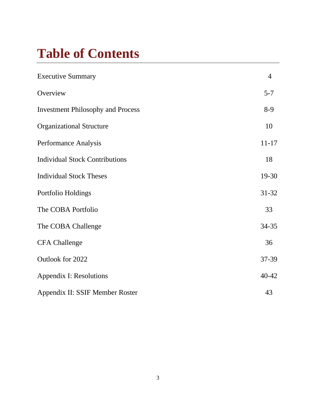# **Table of Contents**

| <b>Executive Summary</b>                 | $\overline{4}$ |
|------------------------------------------|----------------|
| Overview                                 | $5 - 7$        |
| <b>Investment Philosophy and Process</b> | $8-9$          |
| <b>Organizational Structure</b>          | 10             |
| Performance Analysis                     | $11 - 17$      |
| <b>Individual Stock Contributions</b>    | 18             |
| <b>Individual Stock Theses</b>           | 19-30          |
| Portfolio Holdings                       | 31-32          |
| The COBA Portfolio                       | 33             |
| The COBA Challenge                       | 34-35          |
| <b>CFA Challenge</b>                     | 36             |
| Outlook for 2022                         | 37-39          |
| <b>Appendix I: Resolutions</b>           | 40-42          |
| Appendix II: SSIF Member Roster          | 43             |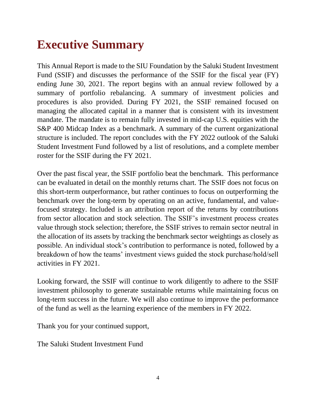# **Executive Summary**

This Annual Report is made to the SIU Foundation by the Saluki Student Investment Fund (SSIF) and discusses the performance of the SSIF for the fiscal year (FY) ending June 30, 2021. The report begins with an annual review followed by a summary of portfolio rebalancing. A summary of investment policies and procedures is also provided. During FY 2021, the SSIF remained focused on managing the allocated capital in a manner that is consistent with its investment mandate. The mandate is to remain fully invested in mid-cap U.S. equities with the S&P 400 Midcap Index as a benchmark. A summary of the current organizational structure is included. The report concludes with the FY 2022 outlook of the Saluki Student Investment Fund followed by a list of resolutions, and a complete member roster for the SSIF during the FY 2021.

Over the past fiscal year, the SSIF portfolio beat the benchmark. This performance can be evaluated in detail on the monthly returns chart. The SSIF does not focus on this short-term outperformance, but rather continues to focus on outperforming the benchmark over the long-term by operating on an active, fundamental, and valuefocused strategy. Included is an attribution report of the returns by contributions from sector allocation and stock selection. The SSIF's investment process creates value through stock selection; therefore, the SSIF strives to remain sector neutral in the allocation of its assets by tracking the benchmark sector weightings as closely as possible. An individual stock's contribution to performance is noted, followed by a breakdown of how the teams' investment views guided the stock purchase/hold/sell activities in FY 2021.

Looking forward, the SSIF will continue to work diligently to adhere to the SSIF investment philosophy to generate sustainable returns while maintaining focus on long-term success in the future. We will also continue to improve the performance of the fund as well as the learning experience of the members in FY 2022.

Thank you for your continued support,

The Saluki Student Investment Fund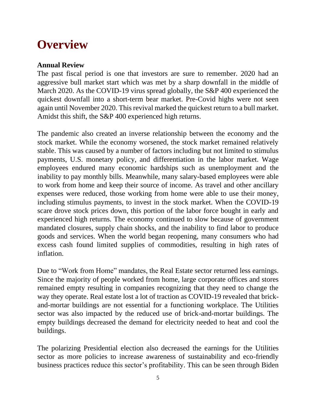# **Overview**

# **Annual Review**

The past fiscal period is one that investors are sure to remember. 2020 had an aggressive bull market start which was met by a sharp downfall in the middle of March 2020. As the COVID-19 virus spread globally, the S&P 400 experienced the quickest downfall into a short-term bear market. Pre-Covid highs were not seen again until November 2020. This revival marked the quickest return to a bull market. Amidst this shift, the S&P 400 experienced high returns.

The pandemic also created an inverse relationship between the economy and the stock market. While the economy worsened, the stock market remained relatively stable. This was caused by a number of factors including but not limited to stimulus payments, U.S. monetary policy, and differentiation in the labor market. Wage employees endured many economic hardships such as unemployment and the inability to pay monthly bills. Meanwhile, many salary-based employees were able to work from home and keep their source of income. As travel and other ancillary expenses were reduced, those working from home were able to use their money, including stimulus payments, to invest in the stock market. When the COVID-19 scare drove stock prices down, this portion of the labor force bought in early and experienced high returns. The economy continued to slow because of government mandated closures, supply chain shocks, and the inability to find labor to produce goods and services. When the world began reopening, many consumers who had excess cash found limited supplies of commodities, resulting in high rates of inflation.

Due to "Work from Home" mandates, the Real Estate sector returned less earnings. Since the majority of people worked from home, large corporate offices and stores remained empty resulting in companies recognizing that they need to change the way they operate. Real estate lost a lot of traction as COVID-19 revealed that brickand-mortar buildings are not essential for a functioning workplace. The Utilities sector was also impacted by the reduced use of brick-and-mortar buildings. The empty buildings decreased the demand for electricity needed to heat and cool the buildings.

The polarizing Presidential election also decreased the earnings for the Utilities sector as more policies to increase awareness of sustainability and eco-friendly business practices reduce this sector's profitability. This can be seen through Biden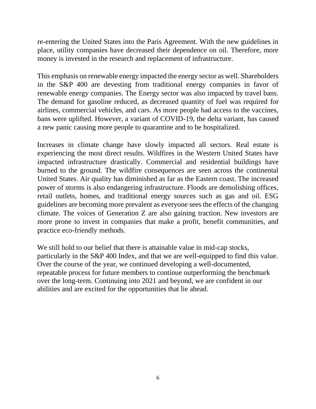re-entering the United States into the Paris Agreement. With the new guidelines in place, utility companies have decreased their dependence on oil. Therefore, more money is invested in the research and replacement of infrastructure.

This emphasis on renewable energy impacted the energy sector as well. Shareholders in the S&P 400 are devesting from traditional energy companies in favor of renewable energy companies. The Energy sector was also impacted by travel bans. The demand for gasoline reduced, as decreased quantity of fuel was required for airlines, commercial vehicles, and cars. As more people had access to the vaccines, bans were uplifted. However, a variant of COVID-19, the delta variant, has caused a new panic causing more people to quarantine and to be hospitalized.

Increases in climate change have slowly impacted all sectors. Real estate is experiencing the most direct results. Wildfires in the Western United States have impacted infrastructure drastically. Commercial and residential buildings have burned to the ground. The wildfire consequences are seen across the continental United States. Air quality has diminished as far as the Eastern coast. The increased power of storms is also endangering infrastructure. Floods are demolishing offices, retail outlets, homes, and traditional energy sources such as gas and oil. ESG guidelines are becoming more prevalent as everyone sees the effects of the changing climate. The voices of Generation Z are also gaining traction. New investors are more prone to invest in companies that make a profit, benefit communities, and practice eco-friendly methods.

We still hold to our belief that there is attainable value in mid-cap stocks, particularly in the S&P 400 Index, and that we are well-equipped to find this value. Over the course of the year, we continued developing a well-documented, repeatable process for future members to continue outperforming the benchmark over the long-term. Continuing into 2021 and beyond, we are confident in our abilities and are excited for the opportunities that lie ahead.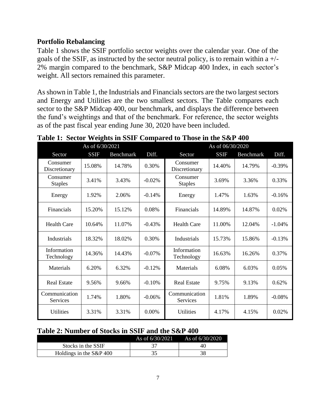# **Portfolio Rebalancing**

Table 1 shows the SSIF portfolio sector weights over the calendar year. One of the goals of the SSIF, as instructed by the sector neutral policy, is to remain within a +/- 2% margin compared to the benchmark, S&P Midcap 400 Index, in each sector's weight. All sectors remained this parameter.

As shown in Table 1, the Industrials and Financials sectors are the two largest sectors and Energy and Utilities are the two smallest sectors. The Table compares each sector to the S&P Midcap 400, our benchmark, and displays the difference between the fund's weightings and that of the benchmark. For reference, the sector weights as of the past fiscal year ending June 30, 2020 have been included.

|                            | As of 6/30/2021 |           | As of 06/30/2020 |                                  |             |           |          |
|----------------------------|-----------------|-----------|------------------|----------------------------------|-------------|-----------|----------|
| Sector                     | <b>SSIF</b>     | Benchmark | Diff.            | Sector                           | <b>SSIF</b> | Benchmark | Diff.    |
| Consumer<br>Discretionary  | 15.08%          | 14.78%    | 0.30%            | Consumer<br>Discretionary        | 14.40%      | 14.79%    | $-0.39%$ |
| Consumer<br><b>Staples</b> | 3.41%           | 3.43%     | $-0.02%$         | Consumer<br><b>Staples</b>       | 3.69%       | 3.36%     | 0.33%    |
| Energy                     | 1.92%           | 2.06%     | $-0.14%$         | Energy                           | 1.47%       | 1.63%     | $-0.16%$ |
| Financials                 | 15.20%          | 15.12%    | 0.08%            | Financials                       | 14.89%      | 14.87%    | 0.02%    |
| <b>Health Care</b>         | 10.64%          | 11.07%    | $-0.43%$         | <b>Health Care</b>               | 11.00%      | 12.04%    | $-1.04%$ |
| Industrials                | 18.32%          | 18.02%    | 0.30%            | Industrials                      | 15.73%      | 15.86%    | $-0.13%$ |
| Information<br>Technology  | 14.36%          | 14.43%    | $-0.07\%$        | Information<br>Technology        | 16.63%      | 16.26%    | 0.37%    |
| Materials                  | 6.20%           | 6.32%     | $-0.12%$         | Materials                        | 6.08%       | 6.03%     | 0.05%    |
| <b>Real Estate</b>         | 9.56%           | 9.66%     | $-0.10%$         | <b>Real Estate</b>               | 9.75%       | 9.13%     | 0.62%    |
| Communication<br>Services  | 1.74%           | 1.80%     | $-0.06%$         | Communication<br><b>Services</b> | 1.81%       | 1.89%     | $-0.08%$ |
| <b>Utilities</b>           | 3.31%           | 3.31%     | 0.00%            | <b>Utilities</b>                 | 4.17%       | 4.15%     | 0.02%    |

**Table 1: Sector Weights in SSIF Compared to Those in the S&P 400**

# **Table 2: Number of Stocks in SSIF and the S&P 400**

|                            | As of 6/30/2021 | As of 6/30/2020 |
|----------------------------|-----------------|-----------------|
| Stocks in the SSIF         |                 |                 |
| Holdings in the $S\&P 400$ |                 |                 |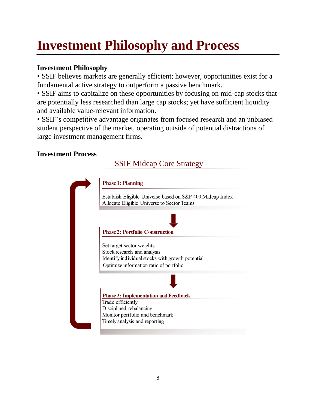# **Investment Philosophy and Process**

# **Investment Philosophy**

• SSIF believes markets are generally efficient; however, opportunities exist for a fundamental active strategy to outperform a passive benchmark.

• SSIF aims to capitalize on these opportunities by focusing on mid-cap stocks that are potentially less researched than large cap stocks; yet have sufficient liquidity and available value-relevant information.

• SSIF's competitive advantage originates from focused research and an unbiased student perspective of the market, operating outside of potential distractions of large investment management firms.

# **Investment Process**

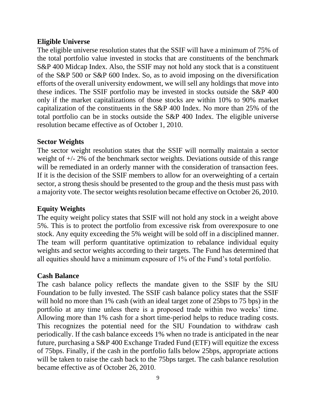# **Eligible Universe**

The eligible universe resolution states that the SSIF will have a minimum of 75% of the total portfolio value invested in stocks that are constituents of the benchmark S&P 400 Midcap Index. Also, the SSIF may not hold any stock that is a constituent of the S&P 500 or S&P 600 Index. So, as to avoid imposing on the diversification efforts of the overall university endowment, we will sell any holdings that move into these indices. The SSIF portfolio may be invested in stocks outside the S&P 400 only if the market capitalizations of those stocks are within 10% to 90% market capitalization of the constituents in the S&P 400 Index. No more than 25% of the total portfolio can be in stocks outside the S&P 400 Index. The eligible universe resolution became effective as of October 1, 2010.

## **Sector Weights**

The sector weight resolution states that the SSIF will normally maintain a sector weight of +/- 2% of the benchmark sector weights. Deviations outside of this range will be remediated in an orderly manner with the consideration of transaction fees. If it is the decision of the SSIF members to allow for an overweighting of a certain sector, a strong thesis should be presented to the group and the thesis must pass with a majority vote. The sector weights resolution became effective on October 26, 2010.

# **Equity Weights**

The equity weight policy states that SSIF will not hold any stock in a weight above 5%. This is to protect the portfolio from excessive risk from overexposure to one stock. Any equity exceeding the 5% weight will be sold off in a disciplined manner. The team will perform quantitative optimization to rebalance individual equity weights and sector weights according to their targets. The Fund has determined that all equities should have a minimum exposure of 1% of the Fund's total portfolio.

## **Cash Balance**

The cash balance policy reflects the mandate given to the SSIF by the SIU Foundation to be fully invested. The SSIF cash balance policy states that the SSIF will hold no more than 1% cash (with an ideal target zone of 25bps to 75 bps) in the portfolio at any time unless there is a proposed trade within two weeks' time. Allowing more than 1% cash for a short time-period helps to reduce trading costs. This recognizes the potential need for the SIU Foundation to withdraw cash periodically. If the cash balance exceeds 1% when no trade is anticipated in the near future, purchasing a S&P 400 Exchange Traded Fund (ETF) will equitize the excess of 75bps. Finally, if the cash in the portfolio falls below 25bps, appropriate actions will be taken to raise the cash back to the 75bps target. The cash balance resolution became effective as of October 26, 2010.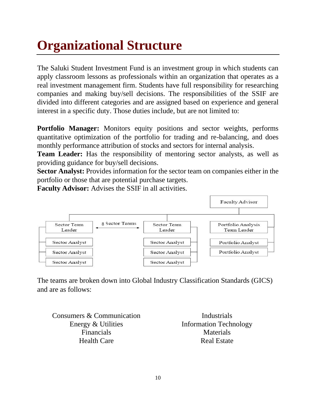# **Organizational Structure**

The Saluki Student Investment Fund is an investment group in which students can apply classroom lessons as professionals within an organization that operates as a real investment management firm. Students have full responsibility for researching companies and making buy/sell decisions. The responsibilities of the SSIF are divided into different categories and are assigned based on experience and general interest in a specific duty. Those duties include, but are not limited to:

**Portfolio Manager:** Monitors equity positions and sector weights, performs quantitative optimization of the portfolio for trading and re-balancing, and does monthly performance attribution of stocks and sectors for internal analysis.

**Team Leader:** Has the responsibility of mentoring sector analysts, as well as providing guidance for buy/sell decisions.

**Sector Analyst:** Provides information for the sector team on companies either in the portfolio or those that are potential purchase targets.

**Faculty Advisor:** Advises the SSIF in all activities.



The teams are broken down into Global Industry Classification Standards (GICS) and are as follows:

Consumers & Communication Energy & Utilities Financials Health Care

Industrials Information Technology Materials Real Estate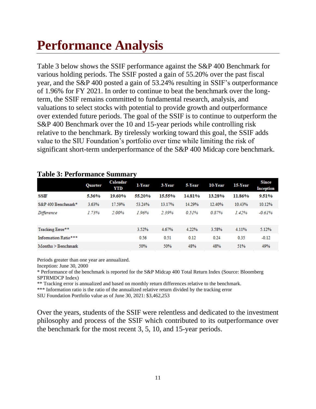# **Performance Analysis**

Table 3 below shows the SSIF performance against the S&P 400 Benchmark for various holding periods. The SSIF posted a gain of 55.20% over the past fiscal year, and the S&P 400 posted a gain of 53.24% resulting in SSIF's outperformance of 1.96% for FY 2021. In order to continue to beat the benchmark over the longterm, the SSIF remains committed to fundamental research, analysis, and valuations to select stocks with potential to provide growth and outperformance over extended future periods. The goal of the SSIF is to continue to outperform the S&P 400 Benchmark over the 10 and 15-year periods while controlling risk relative to the benchmark. By tirelessly working toward this goal, the SSIF adds value to the SIU Foundation's portfolio over time while limiting the risk of significant short-term underperformance of the S&P 400 Midcap core benchmark.

|                              | <b>Quarter</b> | <b>Calendar</b><br><b>YTD</b> | $\bullet$<br>1-Year | 3-Year | 5-Year | 10-Year | 15-Year | <b>Since</b><br><b>Inception</b> |
|------------------------------|----------------|-------------------------------|---------------------|--------|--------|---------|---------|----------------------------------|
| SSIF                         | 5.36%          | 19.60%                        | 55.20%              | 15.55% | 14.81% | 13.28%  | 11.86%  | 9.51%                            |
| S&P 400 Benchmark*           | 3.63%          | 17.59%                        | 53.24%              | 13.17% | 14.29% | 12.40%  | 10.43%  | 10.12%                           |
| Difference                   | 1.73%          | 2.00%                         | 1.96%               | 239%   | 0.51%  | 0.87%   | 142%    | $-0.61%$                         |
| Tracking Error**             |                |                               | 3.52%               | 4.67%  | 4.22%  | 3.58%   | 4.11%   | 5.12%                            |
| Information Ratio***         |                |                               | 0.56                | 0.51   | 0.12   | 0.24    | 0.35    | $-0.12$                          |
| $Monthly > \text{Benchmark}$ |                |                               | 50%                 | 50%    | 48%    | 48%     | 51%     | 49%                              |

#### **Table 3: Performance Summary**

Periods greater than one year are annualized.

Inception: June 30, 2000

\* Performance of the benchmark is reported for the S&P Midcap 400 Total Return Index (Source: Bloomberg SPTRMDCP Index)

\*\* Tracking error is annualized and based on monthly return differences relative to the benchmark.

\*\*\* Information ratio is the ratio of the annualized relative return divided by the tracking error

SIU Foundation Portfolio value as of June 30, 2021: \$3,462,253

Over the years, students of the SSIF were relentless and dedicated to the investment philosophy and process of the SSIF which contributed to its outperformance over the benchmark for the most recent 3, 5, 10, and 15-year periods.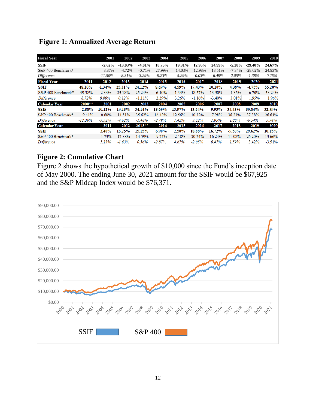| <b>Fiscal Year</b>   |            | 2001       | 2002       | 2003      | 2004     | 2005     | 2006      | 2007     | 2008      | 2009       | 2010     |
|----------------------|------------|------------|------------|-----------|----------|----------|-----------|----------|-----------|------------|----------|
| <b>SSIF</b>          |            | $-2.62%$   | $-13.03\%$ | $-4.01%$  | 18.75%   | 19.31%   | 12.95%    | 24.99%   | $-5.28%$  | $-29.40\%$ | 24.67%   |
| S&P 400 Benchmark*   |            | 8.87%      | $-4.72%$   | $-0.71%$  | 27.99%   | 14.03%   | 12.98%    | 18.51%   | $-7.34%$  | $-28.02%$  | 24.93%   |
| Difference           |            | $-11.50\%$ | $-8.31\%$  | $-3.29%$  | $-9.23%$ | 5.29%    | $-0.03\%$ | 6.49%    | 2.05%     | -1.38%     | $-0.26%$ |
| <b>Fiscal Year</b>   | 2011       | 2012       | 2013       | 2014      | 2015     | 2016     | 2017      | 2018     | 2019      | 2020       | 2021     |
| <b>SSIF</b>          | 48.10%     | $-1.34%$   | 25.31%     | 24.12%    | 8.69%    | 4.59%    | 17.40%    | 10.10%   | 4.38%     | $-4.75%$   | 55.20%   |
| S&P 400 Benchmark*   | 39.38%     | $-2.33%$   | 25.18%     | 25.24%    | 6.40%    | 1.33%    | 18.57%    | 13.50%   | 1.36%     | $-6.70%$   | 53.24%   |
| Difference           | 8.72%      | 0.99%      | 0.12%      | $-1.11%$  | 2.29%    | 3.26%    | $-1.16%$  | $-3.40%$ | 3.01%     | 1.95%      | 1.96%    |
| <b>Calendar Year</b> | $2000**$   | 2001       | 2002       | 2003      | 2004     | 2005     | 2006      | 2007     | 2008      | 2009       | 2010     |
| <b>SSIF</b>          | $-2.88%$   | $-10.12\%$ | $-19.13%$  | 34.14%    | 13.69%   | 13.97%   | 13.64%    | 9.93%    | $-34.43%$ | 30.84%     | 32.59%   |
| S&P 400 Benchmark*   | 9.41%      | $-0.60%$   | $-14.51%$  | 35.62%    | 16.48%   | 12.56%   | 10.32%    | 7.98%    | $-36.23%$ | 37.38%     | 26.64%   |
| Difference           | $-12.30\%$ | $-9.52%$   | $-4.62%$   | $-1.48%$  | $-2.79%$ | 1.42%    | 3.32%     | 1.95%    | 1.80%     | $-6.54%$   | 5.94%    |
| <b>Calendar Year</b> |            | 2011       | 2012       | $2013***$ | 2014     | 2015     | 2016      | 2017     | 2018      | 2019       | 2020     |
| <b>SSIF</b>          |            | 3.40%      | 16.25%     | 15.15%    | $6.90\%$ | 2.50%    | 18.68%    | 16.72%   | $-9.50%$  | 29.62%     | 10.15%   |
| S&P 400 Benchmark*   |            | $-1.73%$   | 17.88%     | 14.59%    | 9.77%    | $-2.18%$ | 20.74%    | 16.24%   | $-11.08%$ | 26.20%     | 13.66%   |
| <b>Difference</b>    |            | 5.13%      | $-1.63%$   | 0.56%     | $-2.87%$ | 4.67%    | $-2.05%$  | 0.47%    | 1.59%     | 3.42%      | $-3.51%$ |

# **Figure 1: Annualized Average Return**

## **Figure 2: Cumulative Chart**

Figure 2 shows the hypothetical growth of \$10,000 since the Fund's inception date of May 2000. The ending June 30, 2021 amount for the SSIF would be \$67,925 and the S&P Midcap Index would be \$76,371.

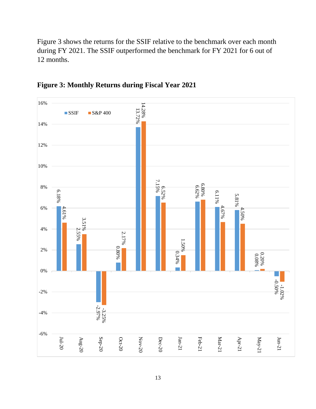Figure 3 shows the returns for the SSIF relative to the benchmark over each month during FY 2021. The SSIF outperformed the benchmark for FY 2021 for 6 out of 12 months.



**Figure 3: Monthly Returns during Fiscal Year 2021**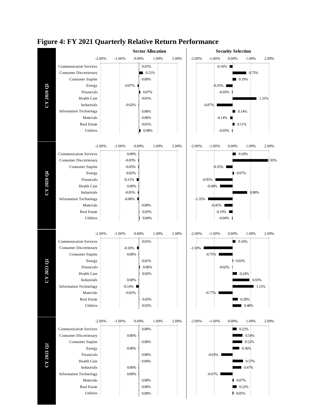

#### **Figure 4: FY 2021 Quarterly Relative Return Performance**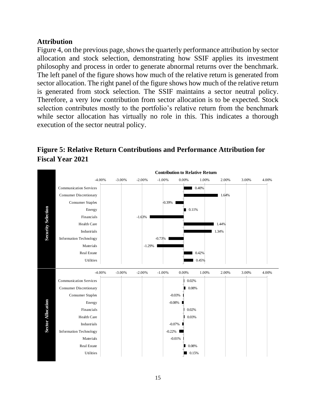# **Attribution**

Figure 4, on the previous page, shows the quarterly performance attribution by sector allocation and stock selection, demonstrating how SSIF applies its investment philosophy and process in order to generate abnormal returns over the benchmark. The left panel of the figure shows how much of the relative return is generated from sector allocation. The right panel of the figure shows how much of the relative return is generated from stock selection. The SSIF maintains a sector neutral policy. Therefore, a very low contribution from sector allocation is to be expected. Stock selection contributes mostly to the portfolio's relative return from the benchmark while sector allocation has virtually no role in this. This indicates a thorough execution of the sector neutral policy.

# **Figure 5: Relative Return Contributions and Performance Attribution for Fiscal Year 2021**

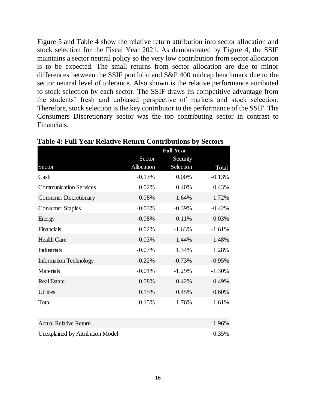Figure 5 and Table 4 show the relative return attribution into sector allocation and stock selection for the Fiscal Year 2021. As demonstrated by Figure 4, the SSIF maintains a sector neutral policy so the very low contribution from sector allocation is to be expected. The small returns from sector allocation are due to minor differences between the SSIF portfolio and S&P 400 midcap benchmark due to the sector neutral level of tolerance. Also shown is the relative performance attributed to stock selection by each sector. The SSIF draws its competitive advantage from the students' fresh and unbiased perspective of markets and stock selection. Therefore, stock selection is the key contributor to the performance of the SSIF. The Consumers Discretionary sector was the top contributing sector in contrast to Financials.

| <b>Full Year</b>     |                       |          |  |  |  |  |
|----------------------|-----------------------|----------|--|--|--|--|
| Sector<br>Allocation | Security<br>Selection | Total    |  |  |  |  |
| $-0.13%$             | 0.00%                 | $-0.13%$ |  |  |  |  |
| 0.02%                | 0.40%                 | 0.43%    |  |  |  |  |
| 0.08%                | 1.64%                 | 1.72%    |  |  |  |  |
| $-0.03%$             | $-0.39%$              | $-0.42%$ |  |  |  |  |
| $-0.08%$             | 0.11%                 | 0.03%    |  |  |  |  |
| 0.02%                | $-1.63%$              | $-1.61%$ |  |  |  |  |
| 0.03%                | 1.44%                 | 1.48%    |  |  |  |  |
| $-0.07%$             | 1.34%                 | 1.28%    |  |  |  |  |
| $-0.22%$             | $-0.73%$              | $-0.95%$ |  |  |  |  |
| $-0.01%$             | $-1.29%$              | $-1.30%$ |  |  |  |  |
| 0.08%                | 0.42%                 | 0.49%    |  |  |  |  |
| 0.15%                | 0.45%                 | 0.60%    |  |  |  |  |
| $-0.15%$             | 1.76%                 | 1.61%    |  |  |  |  |
|                      |                       | 1.96%    |  |  |  |  |
|                      |                       |          |  |  |  |  |

**Table 4: Full Year Relative Return Contributions by Sectors**

| <b>Actual Relative Return</b>    | 1.96% |
|----------------------------------|-------|
| Unexplained by Attribution Model | 0.35% |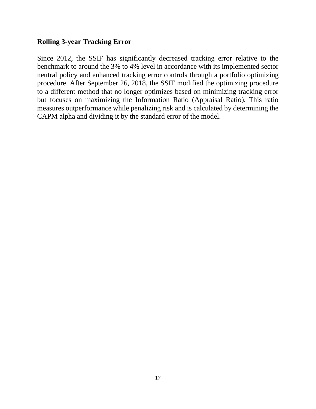## **Rolling 3-year Tracking Error**

Since 2012, the SSIF has significantly decreased tracking error relative to the benchmark to around the 3% to 4% level in accordance with its implemented sector neutral policy and enhanced tracking error controls through a portfolio optimizing procedure. After September 26, 2018, the SSIF modified the optimizing procedure to a different method that no longer optimizes based on minimizing tracking error but focuses on maximizing the Information Ratio (Appraisal Ratio). This ratio measures outperformance while penalizing risk and is calculated by determining the CAPM alpha and dividing it by the standard error of the model.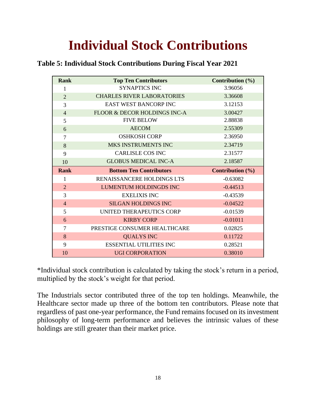# **Individual Stock Contributions**

| <b>Rank</b>    | <b>Top Ten Contributors</b>       | Contribution $(\% )$ |
|----------------|-----------------------------------|----------------------|
| 1              | <b>SYNAPTICS INC</b>              | 3.96056              |
| $\overline{2}$ | <b>CHARLES RIVER LABORATORIES</b> | 3.36608              |
| 3              | <b>EAST WEST BANCORP INC</b>      | 3.12153              |
| $\overline{4}$ | FLOOR & DECOR HOLDINGS INC-A      | 3.00427              |
| 5              | <b>FIVE BELOW</b>                 | 2.88838              |
| 6              | <b>AECOM</b>                      | 2.55309              |
| $\overline{7}$ | <b>OSHKOSH CORP</b>               | 2.36950              |
| 8              | MKS INSTRUMENTS INC               | 2.34719              |
| 9              | <b>CARLISLE COS INC</b>           | 2.31577              |
| 10             | <b>GLOBUS MEDICAL INC-A</b>       | 2.18587              |
|                |                                   |                      |
| <b>Rank</b>    | <b>Bottom Ten Contributors</b>    | Contribution $(\% )$ |
| 1              | RENAISSANCERE HOLDINGS LTS        | $-0.63082$           |
| $\overline{2}$ | <b>LUMENTUM HOLDINGDS INC</b>     | $-0.44513$           |
| 3              | <b>EXELIXIS INC</b>               | $-0.43539$           |
| $\overline{4}$ | <b>SILGAN HOLDINGS INC</b>        | $-0.04522$           |
| 5              | UNITED THERAPEUTICS CORP          | $-0.01539$           |
| 6              | <b>KIRBY CORP</b>                 | $-0.01011$           |
| $\overline{7}$ | PRESTIGE CONSUMER HEALTHCARE      | 0.02825              |
| 8              | <b>QUALYS INC</b>                 | 0.11722              |
| 9              | <b>ESSENTIAL UTILITIES INC</b>    | 0.28521              |

\*Individual stock contribution is calculated by taking the stock's return in a period, multiplied by the stock's weight for that period.

The Industrials sector contributed three of the top ten holdings. Meanwhile, the Healthcare sector made up three of the bottom ten contributors. Please note that regardless of past one-year performance, the Fund remains focused on its investment philosophy of long-term performance and believes the intrinsic values of these holdings are still greater than their market price.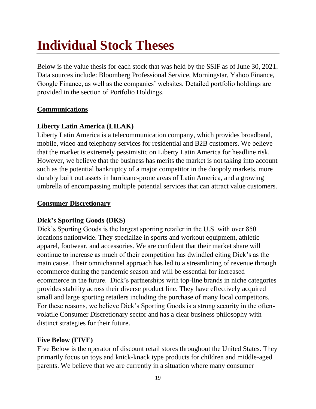# **Individual Stock Theses**

Below is the value thesis for each stock that was held by the SSIF as of June 30, 2021. Data sources include: Bloomberg Professional Service, Morningstar, Yahoo Finance, Google Finance, as well as the companies' websites. Detailed portfolio holdings are provided in the section of Portfolio Holdings.

#### **Communications**

## **Liberty Latin America (LILAK)**

Liberty Latin America is a telecommunication company, which provides broadband, mobile, video and telephony services for residential and B2B customers. We believe that the market is extremely pessimistic on Liberty Latin America for headline risk. However, we believe that the business has merits the market is not taking into account such as the potential bankruptcy of a major competitor in the duopoly markets, more durably built out assets in hurricane-prone areas of Latin America, and a growing umbrella of encompassing multiple potential services that can attract value customers.

#### **Consumer Discretionary**

#### **Dick's Sporting Goods (DKS)**

Dick's Sporting Goods is the largest sporting retailer in the U.S. with over 850 locations nationwide. They specialize in sports and workout equipment, athletic apparel, footwear, and accessories. We are confident that their market share will continue to increase as much of their competition has dwindled citing Dick's as the main cause. Their omnichannel approach has led to a streamlining of revenue through ecommerce during the pandemic season and will be essential for increased ecommerce in the future. Dick's partnerships with top-line brands in niche categories provides stability across their diverse product line. They have effectively acquired small and large sporting retailers including the purchase of many local competitors. For these reasons, we believe Dick's Sporting Goods is a strong security in the oftenvolatile Consumer Discretionary sector and has a clear business philosophy with distinct strategies for their future.

#### **Five Below (FIVE)**

Five Below is the operator of discount retail stores throughout the United States. They primarily focus on toys and knick-knack type products for children and middle-aged parents. We believe that we are currently in a situation where many consumer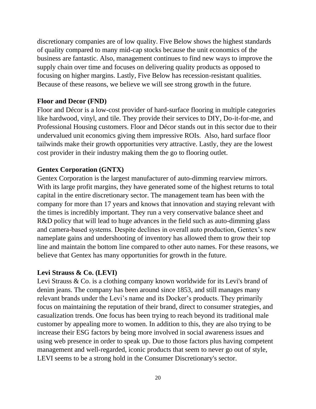discretionary companies are of low quality. Five Below shows the highest standards of quality compared to many mid-cap stocks because the unit economics of the business are fantastic. Also, management continues to find new ways to improve the supply chain over time and focuses on delivering quality products as opposed to focusing on higher margins. Lastly, Five Below has recession-resistant qualities. Because of these reasons, we believe we will see strong growth in the future.

#### **Floor and Decor (FND)**

Floor and Décor is a low-cost provider of hard-surface flooring in multiple categories like hardwood, vinyl, and tile. They provide their services to DIY, Do-it-for-me, and Professional Housing customers. Floor and Décor stands out in this sector due to their undervalued unit economics giving them impressive ROIs. Also, hard surface floor tailwinds make their growth opportunities very attractive. Lastly, they are the lowest cost provider in their industry making them the go to flooring outlet.

#### **Gentex Corporation (GNTX)**

Gentex Corporation is the largest manufacturer of auto-dimming rearview mirrors. With its large profit margins, they have generated some of the highest returns to total capital in the entire discretionary sector. The management team has been with the company for more than 17 years and knows that innovation and staying relevant with the times is incredibly important. They run a very conservative balance sheet and R&D policy that will lead to huge advances in the field such as auto-dimming glass and camera-based systems. Despite declines in overall auto production, Gentex's new nameplate gains and undershooting of inventory has allowed them to grow their top line and maintain the bottom line compared to other auto names. For these reasons, we believe that Gentex has many opportunities for growth in the future.

#### **Levi Strauss & Co. (LEVI)**

Levi Strauss & Co. is a clothing company known worldwide for its Levi's brand of denim jeans. The company has been around since 1853, and still manages many relevant brands under the Levi's name and its Docker's products. They primarily focus on maintaining the reputation of their brand, direct to consumer strategies, and casualization trends. One focus has been trying to reach beyond its traditional male customer by appealing more to women. In addition to this, they are also trying to be increase their ESG factors by being more involved in social awareness issues and using web presence in order to speak up. Due to those factors plus having competent management and well-regarded, iconic products that seem to never go out of style, LEVI seems to be a strong hold in the Consumer Discretionary's sector.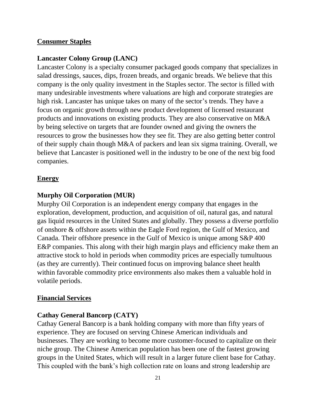#### **Consumer Staples**

#### **Lancaster Colony Group (LANC)**

Lancaster Colony is a specialty consumer packaged goods company that specializes in salad dressings, sauces, dips, frozen breads, and organic breads. We believe that this company is the only quality investment in the Staples sector. The sector is filled with many undesirable investments where valuations are high and corporate strategies are high risk. Lancaster has unique takes on many of the sector's trends. They have a focus on organic growth through new product development of licensed restaurant products and innovations on existing products. They are also conservative on M&A by being selective on targets that are founder owned and giving the owners the resources to grow the businesses how they see fit. They are also getting better control of their supply chain though M&A of packers and lean six sigma training. Overall, we believe that Lancaster is positioned well in the industry to be one of the next big food companies.

#### **Energy**

#### **Murphy Oil Corporation (MUR)**

Murphy Oil Corporation is an independent energy company that engages in the exploration, development, production, and acquisition of oil, natural gas, and natural gas liquid resources in the United States and globally. They possess a diverse portfolio of onshore & offshore assets within the Eagle Ford region, the Gulf of Mexico, and Canada. Their offshore presence in the Gulf of Mexico is unique among S&P 400 E&P companies. This along with their high margin plays and efficiency make them an attractive stock to hold in periods when commodity prices are especially tumultuous (as they are currently). Their continued focus on improving balance sheet health within favorable commodity price environments also makes them a valuable hold in volatile periods.

#### **Financial Services**

#### **Cathay General Bancorp (CATY)**

Cathay General Bancorp is a bank holding company with more than fifty years of experience. They are focused on serving Chinese American individuals and businesses. They are working to become more customer-focused to capitalize on their niche group. The Chinese American population has been one of the fastest growing groups in the United States, which will result in a larger future client base for Cathay. This coupled with the bank's high collection rate on loans and strong leadership are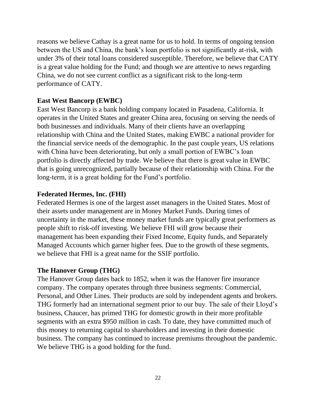reasons we believe Cathay is a great name for us to hold. In terms of ongoing tension between the US and China, the bank's loan portfolio is not significantly at-risk, with under 3% of their total loans considered susceptible. Therefore, we believe that CATY is a great value holding for the Fund; and though we are attentive to news regarding China, we do not see current conflict as a significant risk to the long-term performance of CATY.

## **East West Bancorp (EWBC)**

East West Bancorp is a bank holding company located in Pasadena, California. It operates in the United States and greater China area, focusing on serving the needs of both businesses and individuals. Many of their clients have an overlapping relationship with China and the United States, making EWBC a national provider for the financial service needs of the demographic. In the past couple years, US relations with China have been deteriorating, but only a small portion of EWBC's loan portfolio is directly affected by trade. We believe that there is great value in EWBC that is going unrecognized, partially because of their relationship with China. For the long-term, it is a great holding for the Fund's portfolio.

## **Federated Hermes, Inc. (FHI)**

Federated Hermes is one of the largest asset managers in the United States. Most of their assets under management are in Money Market Funds. During times of uncertainty in the market, these money market funds are typically great performers as people shift to risk-off investing. We believe FHI will grow because their management has been expanding their Fixed Income, Equity funds, and Separately Managed Accounts which garner higher fees. Due to the growth of these segments, we believe that FHI is a great name for the SSIF portfolio.

## **The Hanover Group (THG)**

The Hanover Group dates back to 1852, when it was the Hanover fire insurance company. The company operates through three business segments: Commercial, Personal, and Other Lines. Their products are sold by independent agents and brokers. THG formerly had an international segment prior to our buy. The sale of their Lloyd's business, Chaucer, has primed THG for domestic growth in their more profitable segments with an extra \$950 million in cash. To date, they have committed much of this money to returning capital to shareholders and investing in their domestic business. The company has continued to increase premiums throughout the pandemic. We believe THG is a good holding for the fund.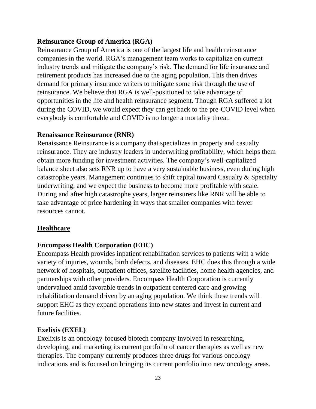## **Reinsurance Group of America (RGA)**

Reinsurance Group of America is one of the largest life and health reinsurance companies in the world. RGA's management team works to capitalize on current industry trends and mitigate the company's risk. The demand for life insurance and retirement products has increased due to the aging population. This then drives demand for primary insurance writers to mitigate some risk through the use of reinsurance. We believe that RGA is well-positioned to take advantage of opportunities in the life and health reinsurance segment. Though RGA suffered a lot during the COVID, we would expect they can get back to the pre-COVID level when everybody is comfortable and COVID is no longer a mortality threat.

#### **Renaissance Reinsurance (RNR)**

Renaissance Reinsurance is a company that specializes in property and casualty reinsurance. They are industry leaders in underwriting profitability, which helps them obtain more funding for investment activities. The company's well-capitalized balance sheet also sets RNR up to have a very sustainable business, even during high catastrophe years. Management continues to shift capital toward Casualty & Specialty underwriting, and we expect the business to become more profitable with scale. During and after high catastrophe years, larger reinsurers like RNR will be able to take advantage of price hardening in ways that smaller companies with fewer resources cannot.

## **Healthcare**

#### **Encompass Health Corporation (EHC)**

Encompass Health provides inpatient rehabilitation services to patients with a wide variety of injuries, wounds, birth defects, and diseases. EHC does this through a wide network of hospitals, outpatient offices, satellite facilities, home health agencies, and partnerships with other providers. Encompass Health Corporation is currently undervalued amid favorable trends in outpatient centered care and growing rehabilitation demand driven by an aging population. We think these trends will support EHC as they expand operations into new states and invest in current and future facilities.

#### **Exelixis (EXEL)**

Exelixis is an oncology-focused biotech company involved in researching, developing, and marketing its current portfolio of cancer therapies as well as new therapies. The company currently produces three drugs for various oncology indications and is focused on bringing its current portfolio into new oncology areas.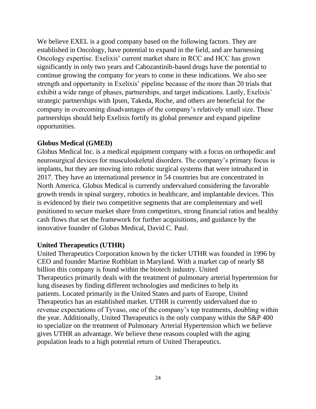We believe EXEL is a good company based on the following factors. They are established in Oncology, have potential to expand in the field, and are harnessing Oncology expertise. Exelixis' current market share in RCC and HCC has grown significantly in only two years and Cabozantinib-based drugs have the potential to continue growing the company for years to come in these indications. We also see strength and opportunity in Exelixis' pipeline because of the more than 20 trials that exhibit a wide range of phases, partnerships, and target indications. Lastly, Exelixis' strategic partnerships with Ipsen, Takeda, Roche, and others are beneficial for the company in overcoming disadvantages of the company's relatively small size. These partnerships should help Exelixis fortify its global presence and expand pipeline opportunities.

#### **Globus Medical (GMED)**

Globus Medical Inc. is a medical equipment company with a focus on orthopedic and neurosurgical devices for musculoskeletal disorders. The company's primary focus is implants, but they are moving into robotic surgical systems that were introduced in 2017. They have an international presence in 54 countries but are concentrated in North America. Globus Medical is currently undervalued considering the favorable growth trends in spinal surgery, robotics in healthcare, and implantable devices. This is evidenced by their two competitive segments that are complementary and well positioned to secure market share from competitors, strong financial ratios and healthy cash flows that set the framework for further acquisitions, and guidance by the innovative founder of Globus Medical, David C. Paul.

#### **United Therapeutics (UTHR)**

United Therapeutics Corporation known by the ticker UTHR was founded in 1996 by CEO and founder Martine Rothblatt in Maryland. With a market cap of nearly \$8 billion this company is found within the biotech industry. United Therapeutics primarily deals with the treatment of pulmonary arterial hypertension for lung diseases by finding different technologies and medicines to help its patients. Located primarily in the United States and parts of Europe, United Therapeutics has an established market. UTHR is currently undervalued due to revenue expectations of Tyvaso, one of the company's top treatments, doubling within the year. Additionally, United Therapeutics is the only company within the S&P 400 to specialize on the treatment of Pulmonary Arterial Hypertension which we believe gives UTHR an advantage. We believe these reasons coupled with the aging population leads to a high potential return of United Therapeutics.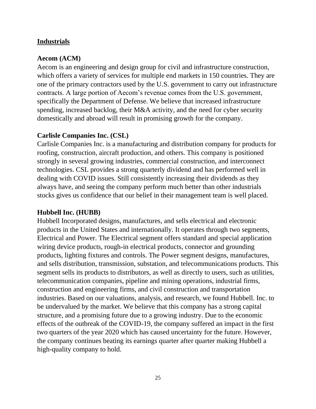#### **Industrials**

#### **Aecom (ACM)**

Aecom is an engineering and design group for civil and infrastructure construction, which offers a variety of services for multiple end markets in 150 countries. They are one of the primary contractors used by the U.S. government to carry out infrastructure contracts. A large portion of Aecom's revenue comes from the U.S. government, specifically the Department of Defense. We believe that increased infrastructure spending, increased backlog, their M&A activity, and the need for cyber security domestically and abroad will result in promising growth for the company.

#### **Carlisle Companies Inc. (CSL)**

Carlisle Companies Inc. is a manufacturing and distribution company for products for roofing, construction, aircraft production, and others. This company is positioned strongly in several growing industries, commercial construction, and interconnect technologies. CSL provides a strong quarterly dividend and has performed well in dealing with COVID issues. Still consistently increasing their dividends as they always have, and seeing the company perform much better than other industrials stocks gives us confidence that our belief in their management team is well placed.

#### **Hubbell Inc. (HUBB)**

Hubbell Incorporated designs, manufactures, and sells electrical and electronic products in the United States and internationally. It operates through two segments, Electrical and Power. The Electrical segment offers standard and special application wiring device products, rough-in electrical products, connector and grounding products, lighting fixtures and controls. The Power segment designs, manufactures, and sells distribution, transmission, substation, and telecommunications products. This segment sells its products to distributors, as well as directly to users, such as utilities, telecommunication companies, pipeline and mining operations, industrial firms, construction and engineering firms, and civil construction and transportation industries. Based on our valuations, analysis, and research, we found Hubbell. Inc. to be undervalued by the market. We believe that this company has a strong capital structure, and a promising future due to a growing industry. Due to the economic effects of the outbreak of the COVID-19, the company suffered an impact in the first two quarters of the year 2020 which has caused uncertainty for the future. However, the company continues beating its earnings quarter after quarter making Hubbell a high-quality company to hold.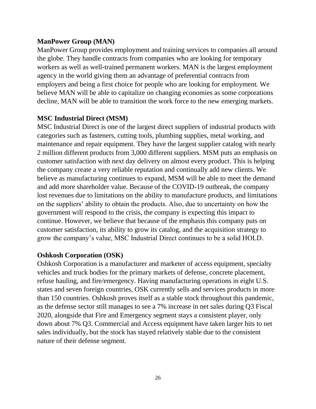#### **ManPower Group (MAN)**

ManPower Group provides employment and training services to companies all around the globe. They handle contracts from companies who are looking for temporary workers as well as well-trained permanent workers. MAN is the largest employment agency in the world giving them an advantage of preferential contracts from employers and being a first choice for people who are looking for employment. We believe MAN will be able to capitalize on changing economies as some corporations decline, MAN will be able to transition the work force to the new emerging markets.

## **MSC Industrial Direct (MSM)**

MSC Industrial Direct is one of the largest direct suppliers of industrial products with categories such as fasteners, cutting tools, plumbing supplies, metal working, and maintenance and repair equipment. They have the largest supplier catalog with nearly 2 million different products from 3,000 different suppliers. MSM puts an emphasis on customer satisfaction with next day delivery on almost every product. This is helping the company create a very reliable reputation and continually add new clients. We believe as manufacturing continues to expand, MSM will be able to meet the demand and add more shareholder value. Because of the COVID-19 outbreak, the company lost revenues due to limitations on the ability to manufacture products, and limitations on the suppliers' ability to obtain the products. Also, due to uncertainty on how the government will respond to the crisis, the company is expecting this impact to continue. However, we believe that because of the emphasis this company puts on customer satisfaction, its ability to grow its catalog, and the acquisition strategy to grow the company's value, MSC Industrial Direct continues to be a solid HOLD.

## **Oshkosh Corporation (OSK)**

Oshkosh Corporation is a manufacturer and marketer of access equipment, specialty vehicles and truck bodies for the primary markets of defense, concrete placement, refuse hauling, and fire/emergency. Having manufacturing operations in eight U.S. states and seven foreign countries, OSK currently sells and services products in more than 150 countries. Oshkosh proves itself as a stable stock throughout this pandemic, as the defense sector still manages to see a 7% increase in net sales during Q3 Fiscal 2020, alongside that Fire and Emergency segment stays a consistent player, only down about 7% Q3. Commercial and Access equipment have taken larger hits to net sales individually, but the stock has stayed relatively stable due to the consistent nature of their defense segment.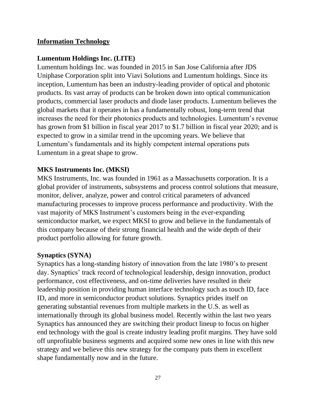### **Information Technology**

#### **Lumentum Holdings Inc. (LITE)**

Lumentum holdings Inc. was founded in 2015 in San Jose California after JDS Uniphase Corporation split into Viavi Solutions and Lumentum holdings. Since its inception, Lumentum has been an industry-leading provider of optical and photonic products. Its vast array of products can be broken down into optical communication products, commercial laser products and diode laser products. Lumentum believes the global markets that it operates in has a fundamentally robust, long-term trend that increases the need for their photonics products and technologies. Lumentum's revenue has grown from \$1 billion in fiscal year 2017 to \$1.7 billion in fiscal year 2020; and is expected to grow in a similar trend in the upcoming years. We believe that Lumentum's fundamentals and its highly competent internal operations puts Lumentum in a great shape to grow.

#### **MKS Instruments Inc. (MKSI)**

MKS Instruments, Inc. was founded in 1961 as a Massachusetts corporation. It is a global provider of instruments, subsystems and process control solutions that measure, monitor, deliver, analyze, power and control critical parameters of advanced manufacturing processes to improve process performance and productivity. With the vast majority of MKS Instrument's customers being in the ever-expanding semiconductor market, we expect MKSI to grow and believe in the fundamentals of this company because of their strong financial health and the wide depth of their product portfolio allowing for future growth.

#### **Synaptics (SYNA)**

Synaptics has a long-standing history of innovation from the late 1980's to present day. Synaptics' track record of technological leadership, design innovation, product performance, cost effectiveness, and on-time deliveries have resulted in their leadership position in providing human interface technology such as touch ID, face ID, and more in semiconductor product solutions. Synaptics prides itself on generating substantial revenues from multiple markets in the U.S. as well as internationally through its global business model. Recently within the last two years Synaptics has announced they are switching their product lineup to focus on higher end technology with the goal is create industry leading profit margins. They have sold off unprofitable business segments and acquired some new ones in line with this new strategy and we believe this new strategy for the company puts them in excellent shape fundamentally now and in the future.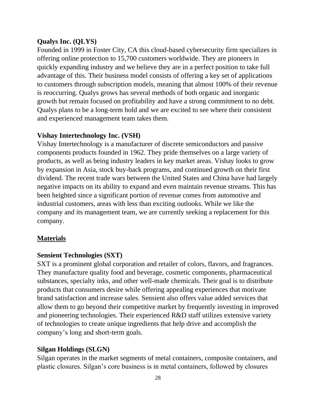#### **Qualys Inc. (QLYS)**

Founded in 1999 in Foster City, CA this cloud-based cybersecurity firm specializes in offering online protection to 15,700 customers worldwide. They are pioneers in quickly expanding industry and we believe they are in a perfect position to take full advantage of this. Their business model consists of offering a key set of applications to customers through subscription models, meaning that almost 100% of their revenue is reoccurring. Qualys grows has several methods of both organic and inorganic growth but remain focused on profitability and have a strong commitment to no debt. Qualys plans to be a long-term hold and we are excited to see where their consistent and experienced management team takes them.

#### **Vishay Intertechnology Inc. (VSH)**

Vishay Intertechnology is a manufacturer of discrete semiconductors and passive components products founded in 1962. They pride themselves on a large variety of products, as well as being industry leaders in key market areas. Vishay looks to grow by expansion in Asia, stock buy-back programs, and continued growth on their first dividend. The recent trade wars between the United States and China have had largely negative impacts on its ability to expand and even maintain revenue streams. This has been heighted since a significant portion of revenue comes from automotive and industrial customers, areas with less than exciting outlooks. While we like the company and its management team, we are currently seeking a replacement for this company.

#### **Materials**

## **Sensient Technologies (SXT)**

SXT is a prominent global corporation and retailer of colors, flavors, and fragrances. They manufacture quality food and beverage, cosmetic components, pharmaceutical substances, specialty inks, and other well-made chemicals. Their goal is to distribute products that consumers desire while offering appealing experiences that motivate brand satisfaction and increase sales. Sensient also offers value added services that allow them to go beyond their competitive market by frequently investing in improved and pioneering technologies. Their experienced R&D staff utilizes extensive variety of technologies to create unique ingredients that help drive and accomplish the company's long and short-term goals.

## **Silgan Holdings (SLGN)**

Silgan operates in the market segments of metal containers, composite containers, and plastic closures. Silgan's core business is in metal containers, followed by closures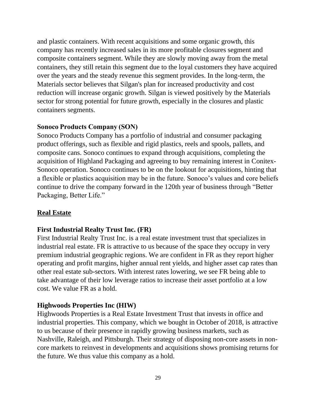and plastic containers. With recent acquisitions and some organic growth, this company has recently increased sales in its more profitable closures segment and composite containers segment. While they are slowly moving away from the metal containers, they still retain this segment due to the loyal customers they have acquired over the years and the steady revenue this segment provides. In the long-term, the Materials sector believes that Silgan's plan for increased productivity and cost reduction will increase organic growth. Silgan is viewed positively by the Materials sector for strong potential for future growth, especially in the closures and plastic containers segments.

#### **Sonoco Products Company (SON)**

Sonoco Products Company has a portfolio of industrial and consumer packaging product offerings, such as flexible and rigid plastics, reels and spools, pallets, and composite cans. Sonoco continues to expand through acquisitions, completing the acquisition of Highland Packaging and agreeing to buy remaining interest in Conitex-Sonoco operation. Sonoco continues to be on the lookout for acquisitions, hinting that a flexible or plastics acquisition may be in the future. Sonoco's values and core beliefs continue to drive the company forward in the 120th year of business through "Better Packaging, Better Life."

#### **Real Estate**

#### **First Industrial Realty Trust Inc. (FR)**

First Industrial Realty Trust Inc. is a real estate investment trust that specializes in industrial real estate. FR is attractive to us because of the space they occupy in very premium industrial geographic regions. We are confident in FR as they report higher operating and profit margins, higher annual rent yields, and higher asset cap rates than other real estate sub-sectors. With interest rates lowering, we see FR being able to take advantage of their low leverage ratios to increase their asset portfolio at a low cost. We value FR as a hold.

#### **Highwoods Properties Inc (HIW)**

Highwoods Properties is a Real Estate Investment Trust that invests in office and industrial properties. This company, which we bought in October of 2018, is attractive to us because of their presence in rapidly growing business markets, such as Nashville, Raleigh, and Pittsburgh. Their strategy of disposing non-core assets in noncore markets to reinvest in developments and acquisitions shows promising returns for the future. We thus value this company as a hold.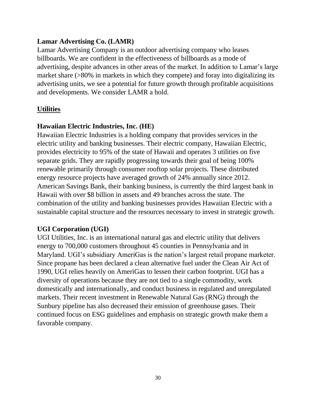### **Lamar Advertising Co. (LAMR)**

Lamar Advertising Company is an outdoor advertising company who leases billboards. We are confident in the effectiveness of billboards as a mode of advertising, despite advances in other areas of the market. In addition to Lamar's large market share (>80% in markets in which they compete) and foray into digitalizing its advertising units, we see a potential for future growth through profitable acquisitions and developments. We consider LAMR a hold.

## **Utilities**

## **Hawaiian Electric Industries, Inc. (HE)**

Hawaiian Electric Industries is a holding company that provides services in the electric utility and banking businesses. Their electric company, Hawaiian Electric, provides electricity to 95% of the state of Hawaii and operates 3 utilities on five separate grids. They are rapidly progressing towards their goal of being 100% renewable primarily through consumer rooftop solar projects. These distributed energy resource projects have averaged growth of 24% annually since 2012. American Savings Bank, their banking business, is currently the third largest bank in Hawaii with over \$8 billion in assets and 49 branches across the state. The combination of the utility and banking businesses provides Hawaiian Electric with a sustainable capital structure and the resources necessary to invest in strategic growth.

# **UGI Corporation (UGI)**

UGI Utilities, Inc. is an international natural gas and electric utility that delivers energy to 700,000 customers throughout 45 counties in Pennsylvania and in Maryland. UGI's subsidiary AmeriGas is the nation's largest retail propane marketer. Since propane has been declared a clean alternative fuel under the Clean Air Act of 1990, UGI relies heavily on AmeriGas to lessen their carbon footprint. UGI has a diversity of operations because they are not tied to a single commodity, work domestically and internationally, and conduct business in regulated and unregulated markets. Their recent investment in Renewable Natural Gas (RNG) through the Sunbury pipeline has also decreased their emission of greenhouse gases. Their continued focus on ESG guidelines and emphasis on strategic growth make them a favorable company.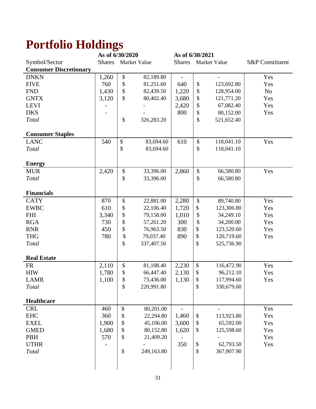# **Portfolio Holdings**

|                               | As of 6/30/2020 |    |              | As of 6/30/2021 |                   |              |                            |
|-------------------------------|-----------------|----|--------------|-----------------|-------------------|--------------|----------------------------|
| Symbol/Sector                 | <b>Shares</b>   |    | Market Value | <b>Shares</b>   |                   | Market Value | <b>S&amp;P</b> Constituent |
| <b>Consumer Discretionary</b> |                 |    |              |                 |                   |              |                            |
| <b>DNKN</b>                   | 1,260           | \$ | 82,189.80    |                 |                   |              | Yes                        |
| <b>FIVE</b>                   | 760             | \$ | 81,251.60    | 640             | $\boldsymbol{\$}$ | 123,692.80   | Yes                        |
| <b>FND</b>                    | 1,430           | \$ | 82,439.50    | 1,220           | \$                | 128,954.00   | N <sub>o</sub>             |
| <b>GNTX</b>                   | 3,120           | \$ | 80,402.40    | 3,680           | \$                | 121,771.20   | Yes                        |
| <b>LEVI</b>                   |                 |    |              | 2,420           | \$                | 67,082.40    | Yes                        |
| <b>DKS</b>                    |                 |    |              | 800             | \$                | 80,152.00    | Yes                        |
| Total                         |                 | \$ | 326,283.20   |                 | \$                | 521,652.40   |                            |
|                               |                 |    |              |                 |                   |              |                            |
| <b>Consumer Staples</b>       |                 |    |              |                 |                   |              |                            |
| <b>LANC</b>                   | 540             | \$ | 83,694.60    | 610             | \$                | 118,041.10   | Yes                        |
| <b>Total</b>                  |                 | \$ | 83,694.60    |                 | \$                | 118,041.10   |                            |
|                               |                 |    |              |                 |                   |              |                            |
| <b>Energy</b>                 |                 |    |              |                 |                   |              |                            |
| <b>MUR</b>                    | 2,420           | \$ | 33,396.00    | 2,860           | \$                | 66,580.80    | Yes                        |
| Total                         |                 | \$ | 33,396.00    |                 | \$                | 66,580.80    |                            |
|                               |                 |    |              |                 |                   |              |                            |
| <b>Financials</b>             |                 |    |              |                 |                   |              |                            |
| <b>CATY</b>                   | 870             | \$ | 22,881.00    | 2,280           | \$                | 89,740.80    | Yes                        |
| <b>EWBC</b>                   | 610             | \$ | 22,106.40    | 1,720           | \$                | 123,306.80   | Yes                        |
| <b>FHI</b>                    | 3,340           | \$ | 79,158.00    | 1,010           | \$                | 34,249.10    | Yes                        |
| <b>RGA</b>                    | 730             | \$ | 57,261.20    | 300             | \$                | 34,200.00    | Yes                        |
| <b>RNR</b>                    | 450             | \$ | 76,963.50    | 830             | \$                | 123,520.60   | Yes                        |
| <b>THG</b>                    | 780             | \$ | 79,037.40    | 890             | \$                | 120,719.60   | Yes                        |
| Total                         |                 | \$ | 337,407.50   |                 | \$                | 525,736.90   |                            |
|                               |                 |    |              |                 |                   |              |                            |
| <b>Real Estate</b>            |                 |    |              |                 |                   |              |                            |
| <b>FR</b>                     | 2,110           | \$ | 81,108.40    | 2,230           | \$                | 116,472.90   | Yes                        |
| <b>HIW</b>                    | 1,780           | \$ | 66,447.40    | 2,130           | \$                | 96,212.10    | Yes                        |
| <b>LAMR</b>                   | 1,100           | \$ | 73,436.00    | 1,130           | \$                | 117,994.60   | Yes                        |
| <b>Total</b>                  |                 | \$ | 220,991.80   |                 | \$                | 330,679.60   |                            |
|                               |                 |    |              |                 |                   |              |                            |
| <b>Healthcare</b>             |                 |    |              |                 |                   |              |                            |
| <b>CRL</b>                    | 460             | \$ | 80,201.00    |                 |                   |              | Yes                        |
| <b>EHC</b>                    | 360             | \$ | 22,294.80    | 1,460           | \$                | 113,923.80   | Yes                        |
| <b>EXEL</b>                   | 1,900           | \$ | 45,106.00    | 3,600           | \$                | 65,592.00    | Yes                        |
| <b>GMED</b>                   | 1,680           | \$ | 80,152.80    | 1,620           | \$                | 125,598.60   | Yes                        |
| PBH                           | 570             | \$ | 21,409.20    |                 |                   |              | Yes                        |
| <b>UTHR</b>                   |                 |    |              | 350             | \$                | 62,793.50    | Yes                        |
| <b>Total</b>                  |                 | \$ | 249,163.80   |                 | \$                | 367,907.90   |                            |
|                               |                 |    |              |                 |                   |              |                            |
|                               |                 |    |              |                 |                   |              |                            |
|                               |                 |    |              |                 |                   |              |                            |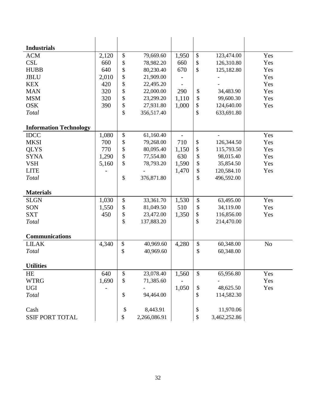| <b>Industrials</b>            |       |                           |              |       |                   |              |          |
|-------------------------------|-------|---------------------------|--------------|-------|-------------------|--------------|----------|
| <b>ACM</b>                    | 2,120 | $\boldsymbol{\mathsf{S}}$ | 79,669.60    | 1,950 | $\$$              | 123,474.00   | Yes      |
| <b>CSL</b>                    | 660   | $\mathbb{S}$              | 78,982.20    | 660   | \$                | 126,310.80   | Yes      |
| <b>HUBB</b>                   | 640   | \$                        | 80,230.40    | 670   | \$                | 125,182.80   | Yes      |
| <b>JBLU</b>                   | 2,010 | $\$$                      | 21,909.00    |       |                   |              | Yes      |
| <b>KEX</b>                    | 420   | \$                        | 22,495.20    |       |                   |              | Yes      |
| <b>MAN</b>                    | 320   | \$                        | 22,000.00    | 290   | \$                | 34,483.90    | Yes      |
| <b>MSM</b>                    | 320   | $\mathbb{S}$              | 23,299.20    | 1,110 | \$                | 99,600.30    | Yes      |
| <b>OSK</b>                    | 390   | $\$$                      | 27,931.80    | 1,000 | \$                | 124,640.00   | Yes      |
| Total                         |       | \$                        | 356,517.40   |       | \$                | 633,691.80   |          |
| <b>Information Technology</b> |       |                           |              |       |                   |              |          |
| <b>IDCC</b>                   | 1,080 | $\$$                      | 61,160.40    |       |                   |              | Yes      |
| <b>MKSI</b>                   | 700   | $\mathbb{S}$              | 79,268.00    | 710   | $\$$              | 126,344.50   | Yes      |
| <b>QLYS</b>                   | 770   | \$                        | 80,095.40    | 1,150 | \$                | 115,793.50   | Yes      |
| <b>SYNA</b>                   | 1,290 | $\$$                      | 77,554.80    | 630   | \$                | 98,015.40    | Yes      |
| <b>VSH</b>                    | 5,160 | \$                        | 78,793.20    | 1,590 | \$                | 35,854.50    | Yes      |
| <b>LITE</b>                   |       |                           |              | 1,470 | \$                | 120,584.10   | Yes      |
| Total                         |       | \$                        | 376,871.80   |       | \$                | 496,592.00   |          |
| <b>Materials</b>              |       |                           |              |       |                   |              |          |
| <b>SLGN</b>                   | 1,030 | $\mathbb{S}$              | 33,361.70    | 1,530 | \$                | 63,495.00    | Yes      |
| SON                           | 1,550 | $\$\,$                    | 81,049.50    | 510   | \$                | 34,119.00    | Yes      |
| <b>SXT</b>                    | 450   | \$                        | 23,472.00    | 1,350 | \$                | 116,856.00   | Yes      |
| Total                         |       | \$                        | 137,883.20   |       | \$                | 214,470.00   |          |
| <b>Communications</b>         |       |                           |              |       |                   |              |          |
| <b>LILAK</b>                  | 4,340 | $\boldsymbol{\$}$         | 40,969.60    | 4,280 | $\boldsymbol{\$}$ | 60,348.00    | $\rm No$ |
| Total                         |       | \$                        | 40,969.60    |       | \$                | 60,348.00    |          |
| <b>Utilities</b>              |       |                           |              |       |                   |              |          |
| $\rm HE$                      | 640   | $\$$                      | 23,078.40    | 1,560 | \$                | 65,956.80    | Yes      |
| <b>WTRG</b>                   | 1,690 | \$                        | 71,385.60    |       |                   |              | Yes      |
| <b>UGI</b>                    |       |                           |              | 1,050 | \$                | 48,625.50    | Yes      |
| Total                         |       | $\mathbb{S}$              | 94,464.00    |       | \$                | 114,582.30   |          |
| Cash                          |       | \$                        | 8,443.91     |       | \$                | 11,970.06    |          |
| <b>SSIF PORT TOTAL</b>        |       | \$                        | 2,266,086.91 |       | \$                | 3,462,252.86 |          |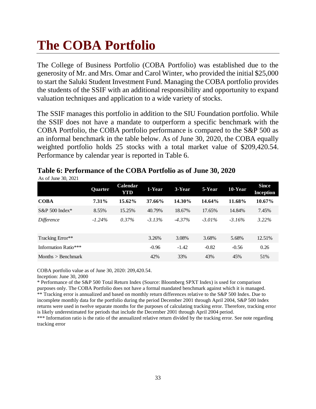# **The COBA Portfolio**

The College of Business Portfolio (COBA Portfolio) was established due to the generosity of Mr. and Mrs. Omar and Carol Winter, who provided the initial \$25,000 to start the Saluki Student Investment Fund. Managing the COBA portfolio provides the students of the SSIF with an additional responsibility and opportunity to expand valuation techniques and application to a wide variety of stocks.

The SSIF manages this portfolio in addition to the SIU Foundation portfolio. While the SSIF does not have a mandate to outperform a specific benchmark with the COBA Portfolio, the COBA portfolio performance is compared to the S&P 500 as an informal benchmark in the table below. As of June 30, 2020, the COBA equally weighted portfolio holds 25 stocks with a total market value of \$209,420.54. Performance by calendar year is reported in Table 6.

|                      | Quarter  | <b>Calendar</b><br>YTD | 1-Year    | 3-Year    | 5-Year    | 10-Year  | <b>Since</b><br>Inception |
|----------------------|----------|------------------------|-----------|-----------|-----------|----------|---------------------------|
| <b>COBA</b>          | $7.31\%$ | 15.62%                 | 37.66%    | 14.30%    | 14.64%    | 11.68%   | 10.67%                    |
| $S\&P 500$ Index*    | 8.55%    | 15.25%                 | 40.79%    | 18.67%    | 17.65%    | 14.84%   | 7.45%                     |
| Difference           | $-1.24%$ | $0.37\%$               | $-3.13\%$ | $-4.37\%$ | $-3.01\%$ | $-3.16%$ | $3.22\%$                  |
| Tracking Error**     |          |                        | 3.26%     | 3.08%     | 3.68%     | 5.68%    | 12.51%                    |
| Information Ratio*** |          |                        | $-0.96$   | $-1.42$   | $-0.82$   | $-0.56$  | 0.26                      |
| Months $>$ Benchmark |          |                        | 42%       | 33%       | 43%       | 45%      | 51%                       |

# **Table 6: Performance of the COBA Portfolio as of June 30, 2020**

COBA portfolio value as of June 30, 2020: 209,420.54.

Inception: June 30, 2000

As of June 30, 2021

\* Performance of the S&P 500 Total Return Index (Source: Bloomberg SPXT Index) is used for comparison purposes only. The COBA Portfolio does not have a formal mandated benchmark against which it is managed. \*\* Tracking error is annualized and based on monthly return differences relative to the S&P 500 Index. Due to incomplete monthly data for the portfolio during the period December 2001 through April 2004, S&P 500 Index returns were used in twelve separate months for the purposes of calculating tracking error. Therefore, tracking error is likely underestimated for periods that include the December 2001 through April 2004 period. \*\*\* Information ratio is the ratio of the annualized relative return divided by the tracking error. See note regarding

tracking error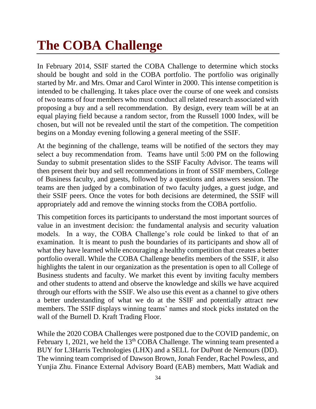# **The COBA Challenge**

In February 2014, SSIF started the COBA Challenge to determine which stocks should be bought and sold in the COBA portfolio. The portfolio was originally started by Mr. and Mrs. Omar and Carol Winter in 2000. This intense competition is intended to be challenging. It takes place over the course of one week and consists of two teams of four members who must conduct all related research associated with proposing a buy and a sell recommendation. By design, every team will be at an equal playing field because a random sector, from the Russell 1000 Index, will be chosen, but will not be revealed until the start of the competition. The competition begins on a Monday evening following a general meeting of the SSIF.

At the beginning of the challenge, teams will be notified of the sectors they may select a buy recommendation from. Teams have until 5:00 PM on the following Sunday to submit presentation slides to the SSIF Faculty Advisor. The teams will then present their buy and sell recommendations in front of SSIF members, College of Business faculty, and guests, followed by a questions and answers session. The teams are then judged by a combination of two faculty judges, a guest judge, and their SSIF peers. Once the votes for both decisions are determined, the SSIF will appropriately add and remove the winning stocks from the COBA portfolio.

This competition forces its participants to understand the most important sources of value in an investment decision: the fundamental analysis and security valuation models. In a way, the COBA Challenge's role could be linked to that of an examination. It is meant to push the boundaries of its participants and show all of what they have learned while encouraging a healthy competition that creates a better portfolio overall. While the COBA Challenge benefits members of the SSIF, it also highlights the talent in our organization as the presentation is open to all College of Business students and faculty. We market this event by inviting faculty members and other students to attend and observe the knowledge and skills we have acquired through our efforts with the SSIF. We also use this event as a channel to give others a better understanding of what we do at the SSIF and potentially attract new members. The SSIF displays winning teams' names and stock picks instated on the wall of the Burnell D. Kraft Trading Floor.

While the 2020 COBA Challenges were postponed due to the COVID pandemic, on February 1, 2021, we held the  $13<sup>th</sup> COBA$  Challenge. The winning team presented a BUY for L3Harris Technologies (LHX) and a SELL for DuPont de Nemours (DD). The winning team comprised of Dawson Brown, Jonah Fender, Rachel Powless, and Yunjia Zhu. Finance External Advisory Board (EAB) members, Matt Wadiak and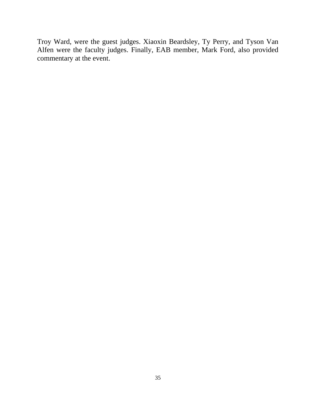Troy Ward, were the guest judges. Xiaoxin Beardsley, Ty Perry, and Tyson Van Alfen were the faculty judges. Finally, EAB member, Mark Ford, also provided commentary at the event.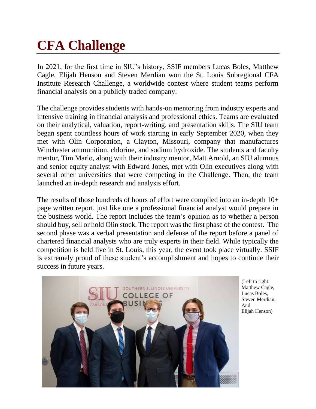# **CFA Challenge**

In 2021, for the first time in SIU's history, SSIF members Lucas Boles, Matthew Cagle, Elijah Henson and Steven Merdian won the St. Louis Subregional CFA Institute Research Challenge, a worldwide contest where student teams perform financial analysis on a publicly traded company.

The challenge provides students with hands-on mentoring from industry experts and intensive training in financial analysis and professional ethics. Teams are evaluated on their analytical, valuation, report-writing, and presentation skills. The SIU team began spent countless hours of work starting in early September 2020, when they met with Olin Corporation, a Clayton, Missouri, company that manufactures Winchester ammunition, chlorine, and sodium hydroxide. The students and faculty mentor, Tim Marlo, along with their industry mentor, Matt Arnold, an SIU alumnus and senior equity analyst with Edward Jones, met with Olin executives along with several other universities that were competing in the Challenge. Then, the team launched an in-depth research and analysis effort.

The results of those hundreds of hours of effort were compiled into an in-depth 10+ page written report, just like one a professional financial analyst would prepare in the business world. The report includes the team's opinion as to whether a person should buy, sell or hold Olin stock. The report was the first phase of the contest. The second phase was a verbal presentation and defense of the report before a panel of chartered financial analysts who are truly experts in their field. While typically the competition is held live in St. Louis, this year, the event took place virtually. SSIF is extremely proud of these student's accomplishment and hopes to continue their success in future years.



(Left to right: Matthew Cagle, Lucas Boles, Steven Merdian, And Elijah Henson)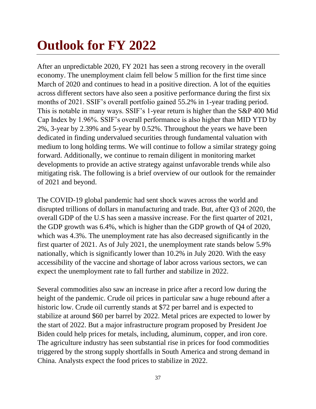# **Outlook for FY 2022**

After an unpredictable 2020, FY 2021 has seen a strong recovery in the overall economy. The unemployment claim fell below 5 million for the first time since March of 2020 and continues to head in a positive direction. A lot of the equities across different sectors have also seen a positive performance during the first six months of 2021. SSIF's overall portfolio gained 55.2% in 1-year trading period. This is notable in many ways. SSIF's 1-year return is higher than the S&P 400 Mid Cap Index by 1.96%. SSIF's overall performance is also higher than MID YTD by 2%, 3-year by 2.39% and 5-year by 0.52%. Throughout the years we have been dedicated in finding undervalued securities through fundamental valuation with medium to long holding terms. We will continue to follow a similar strategy going forward. Additionally, we continue to remain diligent in monitoring market developments to provide an active strategy against unfavorable trends while also mitigating risk. The following is a brief overview of our outlook for the remainder of 2021 and beyond.

The COVID-19 global pandemic had sent shock waves across the world and disrupted trillions of dollars in manufacturing and trade. But, after Q3 of 2020, the overall GDP of the U.S has seen a massive increase. For the first quarter of 2021, the GDP growth was 6.4%, which is higher than the GDP growth of Q4 of 2020, which was 4.3%. The unemployment rate has also decreased significantly in the first quarter of 2021. As of July 2021, the unemployment rate stands below 5.9% nationally, which is significantly lower than 10.2% in July 2020. With the easy accessibility of the vaccine and shortage of labor across various sectors, we can expect the unemployment rate to fall further and stabilize in 2022.

Several commodities also saw an increase in price after a record low during the height of the pandemic. Crude oil prices in particular saw a huge rebound after a historic low. Crude oil currently stands at \$72 per barrel and is expected to stabilize at around \$60 per barrel by 2022. Metal prices are expected to lower by the start of 2022. But a major infrastructure program proposed by President Joe Biden could help prices for metals, including, aluminum, copper, and iron core. The agriculture industry has seen substantial rise in prices for food commodities triggered by the strong supply shortfalls in South America and strong demand in China. Analysts expect the food prices to stabilize in 2022.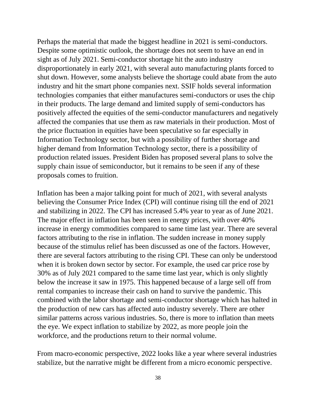Perhaps the material that made the biggest headline in 2021 is semi-conductors. Despite some optimistic outlook, the shortage does not seem to have an end in sight as of July 2021. Semi-conductor shortage hit the auto industry disproportionately in early 2021, with several auto manufacturing plants forced to shut down. However, some analysts believe the shortage could abate from the auto industry and hit the smart phone companies next. SSIF holds several information technologies companies that either manufactures semi-conductors or uses the chip in their products. The large demand and limited supply of semi-conductors has positively affected the equities of the semi-conductor manufacturers and negatively affected the companies that use them as raw materials in their production. Most of the price fluctuation in equities have been speculative so far especially in Information Technology sector, but with a possibility of further shortage and higher demand from Information Technology sector, there is a possibility of production related issues. President Biden has proposed several plans to solve the supply chain issue of semiconductor, but it remains to be seen if any of these proposals comes to fruition.

Inflation has been a major talking point for much of 2021, with several analysts believing the Consumer Price Index (CPI) will continue rising till the end of 2021 and stabilizing in 2022. The CPI has increased 5.4% year to year as of June 2021. The major effect in inflation has been seen in energy prices, with over 40% increase in energy commodities compared to same time last year. There are several factors attributing to the rise in inflation. The sudden increase in money supply because of the stimulus relief has been discussed as one of the factors. However, there are several factors attributing to the rising CPI. These can only be understood when it is broken down sector by sector. For example, the used car price rose by 30% as of July 2021 compared to the same time last year, which is only slightly below the increase it saw in 1975. This happened because of a large sell off from rental companies to increase their cash on hand to survive the pandemic. This combined with the labor shortage and semi-conductor shortage which has halted in the production of new cars has affected auto industry severely. There are other similar patterns across various industries. So, there is more to inflation than meets the eye. We expect inflation to stabilize by 2022, as more people join the workforce, and the productions return to their normal volume.

From macro-economic perspective, 2022 looks like a year where several industries stabilize, but the narrative might be different from a micro economic perspective.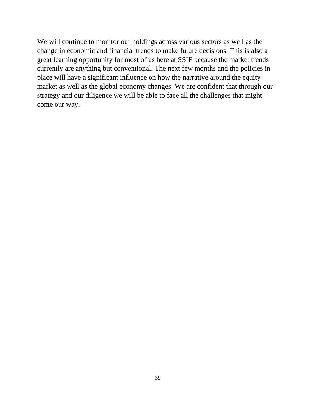We will continue to monitor our holdings across various sectors as well as the change in economic and financial trends to make future decisions. This is also a great learning opportunity for most of us here at SSIF because the market trends currently are anything but conventional. The next few months and the policies in place will have a significant influence on how the narrative around the equity market as well as the global economy changes. We are confident that through our strategy and our diligence we will be able to face all the challenges that might come our way.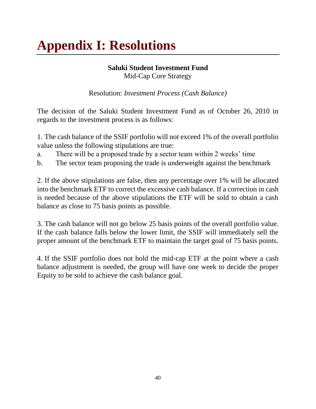# **Appendix I: Resolutions**

# **Saluki Student Investment Fund**

Mid-Cap Core Strategy

Resolution: *Investment Process (Cash Balance)* 

The decision of the Saluki Student Investment Fund as of October 26, 2010 in regards to the investment process is as follows:

1. The cash balance of the SSIF portfolio will not exceed 1% of the overall portfolio value unless the following stipulations are true:

- a. There will be a proposed trade by a sector team within 2 weeks' time
- b. The sector team proposing the trade is underweight against the benchmark

2. If the above stipulations are false, then any percentage over 1% will be allocated into the benchmark ETF to correct the excessive cash balance. If a correction in cash is needed because of the above stipulations the ETF will be sold to obtain a cash balance as close to 75 basis points as possible.

3. The cash balance will not go below 25 basis points of the overall portfolio value. If the cash balance falls below the lower limit, the SSIF will immediately sell the proper amount of the benchmark ETF to maintain the target goal of 75 basis points.

4. If the SSIF portfolio does not hold the mid-cap ETF at the point where a cash balance adjustment is needed, the group will have one week to decide the proper Equity to be sold to achieve the cash balance goal.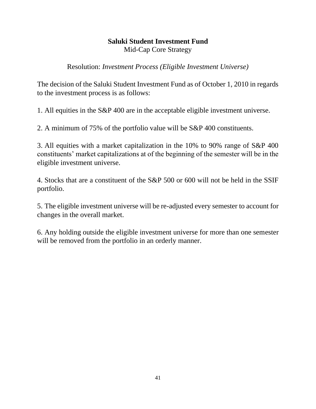# **Saluki Student Investment Fund**

Mid-Cap Core Strategy

Resolution: *Investment Process (Eligible Investment Universe)*

The decision of the Saluki Student Investment Fund as of October 1, 2010 in regards to the investment process is as follows:

1. All equities in the S&P 400 are in the acceptable eligible investment universe.

2. A minimum of 75% of the portfolio value will be S&P 400 constituents.

3. All equities with a market capitalization in the 10% to 90% range of S&P 400 constituents' market capitalizations at of the beginning of the semester will be in the eligible investment universe.

4. Stocks that are a constituent of the S&P 500 or 600 will not be held in the SSIF portfolio.

5. The eligible investment universe will be re-adjusted every semester to account for changes in the overall market.

6. Any holding outside the eligible investment universe for more than one semester will be removed from the portfolio in an orderly manner.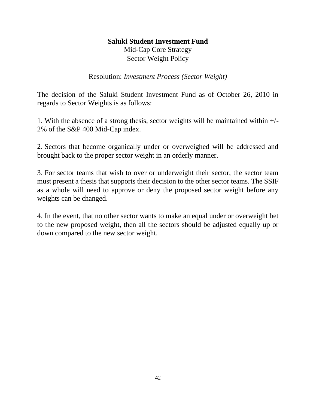# **Saluki Student Investment Fund**

Mid-Cap Core Strategy Sector Weight Policy

Resolution: *Investment Process (Sector Weight)* 

The decision of the Saluki Student Investment Fund as of October 26, 2010 in regards to Sector Weights is as follows:

1. With the absence of a strong thesis, sector weights will be maintained within +/- 2% of the S&P 400 Mid-Cap index.

2. Sectors that become organically under or overweighed will be addressed and brought back to the proper sector weight in an orderly manner.

3. For sector teams that wish to over or underweight their sector, the sector team must present a thesis that supports their decision to the other sector teams. The SSIF as a whole will need to approve or deny the proposed sector weight before any weights can be changed.

4. In the event, that no other sector wants to make an equal under or overweight bet to the new proposed weight, then all the sectors should be adjusted equally up or down compared to the new sector weight.